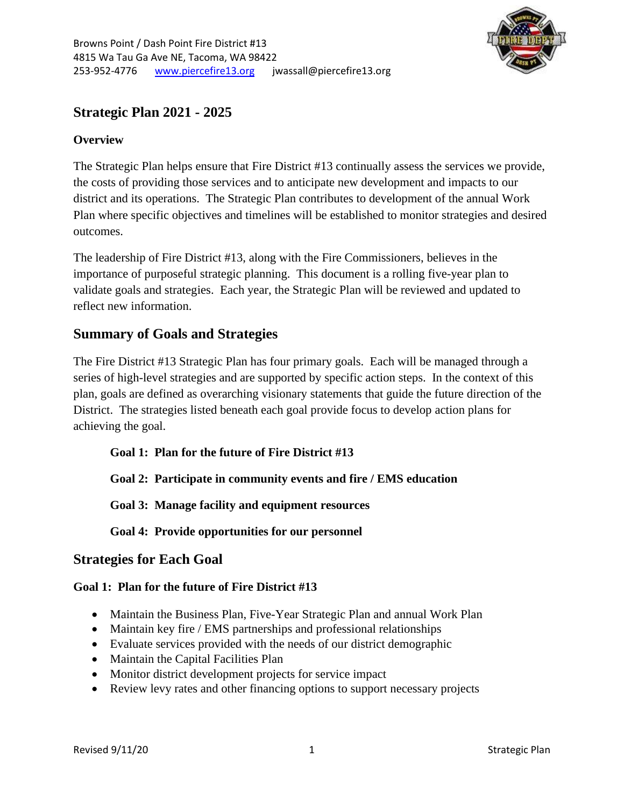

# **Strategic Plan 2021 - 2025**

# **Overview**

The Strategic Plan helps ensure that Fire District #13 continually assess the services we provide, the costs of providing those services and to anticipate new development and impacts to our district and its operations. The Strategic Plan contributes to development of the annual Work Plan where specific objectives and timelines will be established to monitor strategies and desired outcomes.

The leadership of Fire District #13, along with the Fire Commissioners, believes in the importance of purposeful strategic planning. This document is a rolling five-year plan to validate goals and strategies. Each year, the Strategic Plan will be reviewed and updated to reflect new information.

# **Summary of Goals and Strategies**

The Fire District #13 Strategic Plan has four primary goals. Each will be managed through a series of high-level strategies and are supported by specific action steps. In the context of this plan, goals are defined as overarching visionary statements that guide the future direction of the District. The strategies listed beneath each goal provide focus to develop action plans for achieving the goal.

**Goal 1: Plan for the future of Fire District #13**

**Goal 2: Participate in community events and fire / EMS education** 

**Goal 3: Manage facility and equipment resources**

**Goal 4: Provide opportunities for our personnel**

# **Strategies for Each Goal**

### **Goal 1: Plan for the future of Fire District #13**

- Maintain the Business Plan, Five-Year Strategic Plan and annual Work Plan
- Maintain key fire / EMS partnerships and professional relationships
- Evaluate services provided with the needs of our district demographic
- Maintain the Capital Facilities Plan
- Monitor district development projects for service impact
- Review levy rates and other financing options to support necessary projects